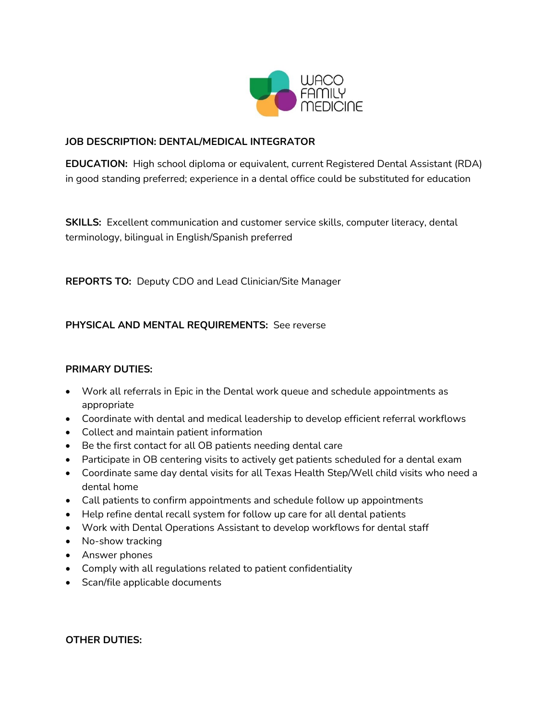

# **JOB DESCRIPTION: DENTAL/MEDICAL INTEGRATOR**

**EDUCATION:** High school diploma or equivalent, current Registered Dental Assistant (RDA) in good standing preferred; experience in a dental office could be substituted for education

**SKILLS:** Excellent communication and customer service skills, computer literacy, dental terminology, bilingual in English/Spanish preferred

**REPORTS TO:** Deputy CDO and Lead Clinician/Site Manager

## **PHYSICAL AND MENTAL REQUIREMENTS:** See reverse

### **PRIMARY DUTIES:**

- Work all referrals in Epic in the Dental work queue and schedule appointments as appropriate
- Coordinate with dental and medical leadership to develop efficient referral workflows
- Collect and maintain patient information
- Be the first contact for all OB patients needing dental care
- Participate in OB centering visits to actively get patients scheduled for a dental exam
- Coordinate same day dental visits for all Texas Health Step/Well child visits who need a dental home
- Call patients to confirm appointments and schedule follow up appointments
- Help refine dental recall system for follow up care for all dental patients
- Work with Dental Operations Assistant to develop workflows for dental staff
- No-show tracking
- Answer phones
- Comply with all regulations related to patient confidentiality
- Scan/file applicable documents

**OTHER DUTIES:**